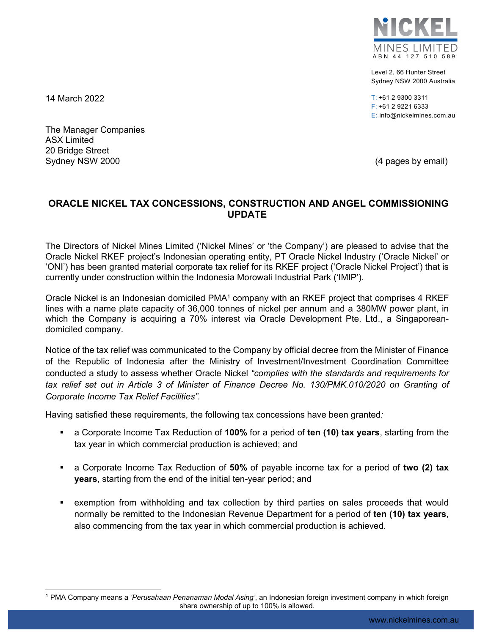

Level 2, 66 Hunter Street Sydney NSW 2000 Australia

T: +61 2 9300 3311 F: +61 2 9221 6333 E: info@nickelmines.com.au

14 March 2022

l

The Manager Companies ASX Limited 20 Bridge Street Sydney NSW 2000 **(4 pages by email)** Sydney NSW 2000

## **ORACLE NICKEL TAX CONCESSIONS, CONSTRUCTION AND ANGEL COMMISSIONING UPDATE**

The Directors of Nickel Mines Limited ('Nickel Mines' or 'the Company') are pleased to advise that the Oracle Nickel RKEF project's Indonesian operating entity, PT Oracle Nickel Industry ('Oracle Nickel' or 'ONI') has been granted material corporate tax relief for its RKEF project ('Oracle Nickel Project') that is currently under construction within the Indonesia Morowali Industrial Park ('IMIP').

Oracle Nickel is an Indonesian domiciled PMA<sup>1</sup> company with an RKEF project that comprises 4 RKEF lines with a name plate capacity of 36,000 tonnes of nickel per annum and a 380MW power plant, in which the Company is acquiring a 70% interest via Oracle Development Pte. Ltd., a Singaporeandomiciled company.

Notice of the tax relief was communicated to the Company by official decree from the Minister of Finance of the Republic of Indonesia after the Ministry of Investment/Investment Coordination Committee conducted a study to assess whether Oracle Nickel *"complies with the standards and requirements for*  tax relief set out in Article 3 of Minister of Finance Decree No. 130/PMK.010/2020 on Granting of *Corporate Income Tax Relief Facilities".* 

Having satisfied these requirements, the following tax concessions have been granted*:* 

- a Corporate Income Tax Reduction of **100%** for a period of **ten (10) tax years**, starting from the tax year in which commercial production is achieved; and
- a Corporate Income Tax Reduction of **50%** of payable income tax for a period of **two (2) tax years**, starting from the end of the initial ten-year period; and
- exemption from withholding and tax collection by third parties on sales proceeds that would normally be remitted to the Indonesian Revenue Department for a period of **ten (10) tax years**, also commencing from the tax year in which commercial production is achieved.

<sup>1</sup> PMA Company means a *'Perusahaan Penanaman Modal Asing'*, an Indonesian foreign investment company in which foreign share ownership of up to 100% is allowed.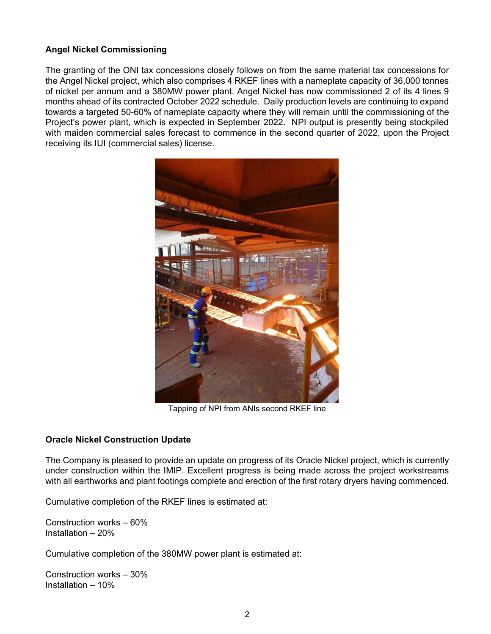## **Angel Nickel Commissioning**

The granting of the ONI tax concessions closely follows on from the same material tax concessions for the Angel Nickel project, which also comprises 4 RKEF lines with a nameplate capacity of 36,000 tonnes of nickel per annum and a 380MW power plant. Angel Nickel has now commissioned 2 of its 4 lines 9 months ahead of its contracted October 2022 schedule. Daily production levels are continuing to expand towards a targeted 50-60% of nameplate capacity where they will remain until the commissioning of the Project's power plant, which is expected in September 2022. NPI output is presently being stockpiled with maiden commercial sales forecast to commence in the second quarter of 2022, upon the Project receiving its IUI (commercial sales) license.



Tapping of NPI from ANIs second RKEF line

## **Oracle Nickel Construction Update**

The Company is pleased to provide an update on progress of its Oracle Nickel project, which is currently under construction within the IMIP. Excellent progress is being made across the project workstreams with all earthworks and plant footings complete and erection of the first rotary dryers having commenced.

Cumulative completion of the RKEF lines is estimated at:

Construction works – 60% Installation – 20%

Cumulative completion of the 380MW power plant is estimated at:

Construction works – 30% Installation – 10%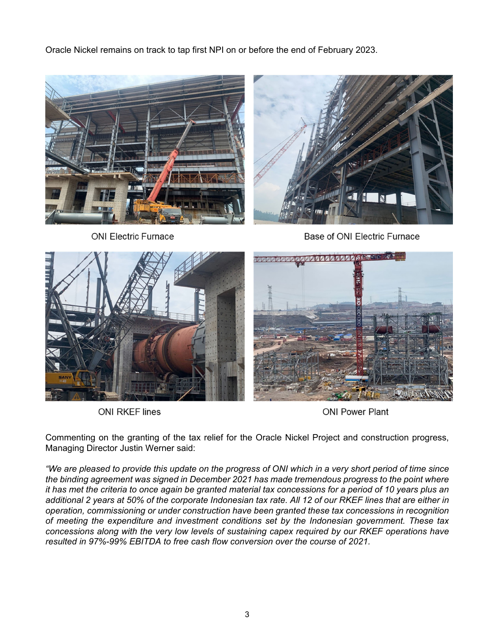Oracle Nickel remains on track to tap first NPI on or before the end of February 2023.





**ONI Electric Furnace** 

Base of ONI Electric Furnace



**ONI RKEF lines** 

**ONI Power Plant** 

Commenting on the granting of the tax relief for the Oracle Nickel Project and construction progress, Managing Director Justin Werner said:

*"We are pleased to provide this update on the progress of ONI which in a very short period of time since the binding agreement was signed in December 2021 has made tremendous progress to the point where it has met the criteria to once again be granted material tax concessions for a period of 10 years plus an additional 2 years at 50% of the corporate Indonesian tax rate. All 12 of our RKEF lines that are either in operation, commissioning or under construction have been granted these tax concessions in recognition of meeting the expenditure and investment conditions set by the Indonesian government. These tax concessions along with the very low levels of sustaining capex required by our RKEF operations have resulted in 97%-99% EBITDA to free cash flow conversion over the course of 2021.*